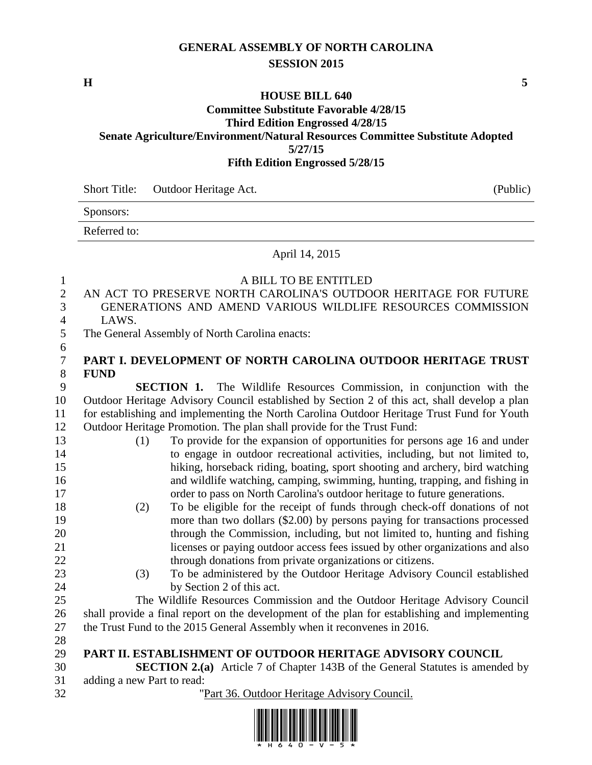## **GENERAL ASSEMBLY OF NORTH CAROLINA SESSION 2015**

**H 5**

# **HOUSE BILL 640**

#### **Committee Substitute Favorable 4/28/15 Third Edition Engrossed 4/28/15 Senate Agriculture/Environment/Natural Resources Committee Substitute Adopted 5/27/15 Fifth Edition Engrossed 5/28/15**

Short Title: Outdoor Heritage Act. (Public)

Sponsors:

Referred to:

#### April 14, 2015

| 1              | A BILL TO BE ENTITLED                                                                         |
|----------------|-----------------------------------------------------------------------------------------------|
| $\sqrt{2}$     | AN ACT TO PRESERVE NORTH CAROLINA'S OUTDOOR HERITAGE FOR FUTURE                               |
| 3              | GENERATIONS AND AMEND VARIOUS WILDLIFE RESOURCES COMMISSION                                   |
| $\overline{4}$ | LAWS.                                                                                         |
| 5              | The General Assembly of North Carolina enacts:                                                |
| 6              |                                                                                               |
| $\overline{7}$ | PART I. DEVELOPMENT OF NORTH CAROLINA OUTDOOR HERITAGE TRUST                                  |
| $8\,$          | <b>FUND</b>                                                                                   |
| 9              | <b>SECTION 1.</b> The Wildlife Resources Commission, in conjunction with the                  |
| 10             | Outdoor Heritage Advisory Council established by Section 2 of this act, shall develop a plan  |
| 11             | for establishing and implementing the North Carolina Outdoor Heritage Trust Fund for Youth    |
| 12             | Outdoor Heritage Promotion. The plan shall provide for the Trust Fund:                        |
| 13             | To provide for the expansion of opportunities for persons age 16 and under<br>(1)             |
| 14             | to engage in outdoor recreational activities, including, but not limited to,                  |
| 15             | hiking, horseback riding, boating, sport shooting and archery, bird watching                  |
| 16             | and wildlife watching, camping, swimming, hunting, trapping, and fishing in                   |
| 17             | order to pass on North Carolina's outdoor heritage to future generations.                     |
| 18             | To be eligible for the receipt of funds through check-off donations of not<br>(2)             |
| 19             | more than two dollars (\$2.00) by persons paying for transactions processed                   |
| 20             | through the Commission, including, but not limited to, hunting and fishing                    |
| 21             | licenses or paying outdoor access fees issued by other organizations and also                 |
| 22             | through donations from private organizations or citizens.                                     |
| 23             | To be administered by the Outdoor Heritage Advisory Council established<br>(3)                |
| 24             | by Section 2 of this act.                                                                     |
| 25             | The Wildlife Resources Commission and the Outdoor Heritage Advisory Council                   |
| 26             | shall provide a final report on the development of the plan for establishing and implementing |
| 27             | the Trust Fund to the 2015 General Assembly when it reconvenes in 2016.                       |
| 28             |                                                                                               |
| 29             | PART II. ESTABLISHMENT OF OUTDOOR HERITAGE ADVISORY COUNCIL                                   |
| 30             | <b>SECTION 2.(a)</b> Article 7 of Chapter 143B of the General Statutes is amended by          |
| 31             | adding a new Part to read:                                                                    |
| 32             | "Part 36. Outdoor Heritage Advisory Council.                                                  |

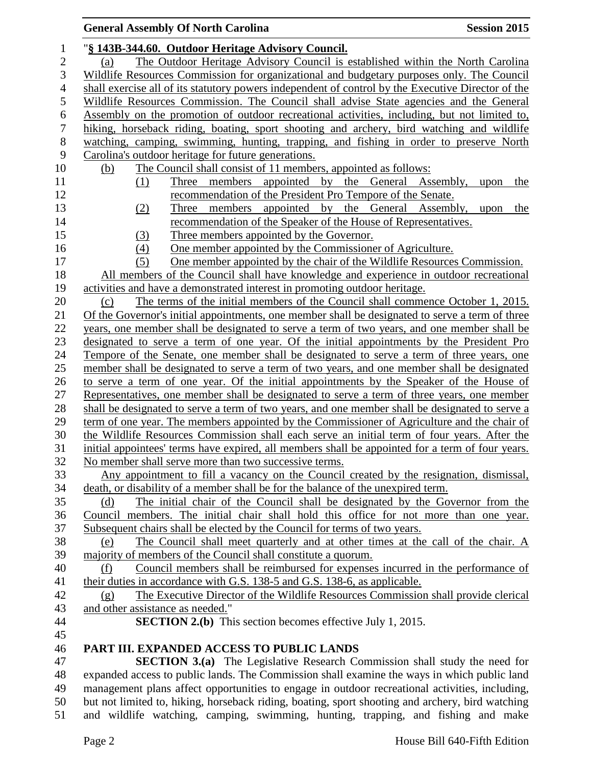### **General Assembly Of North Carolina Session 2015** "**§ 143B-344.60. Outdoor Heritage Advisory Council.** (a) The Outdoor Heritage Advisory Council is established within the North Carolina Wildlife Resources Commission for organizational and budgetary purposes only. The Council shall exercise all of its statutory powers independent of control by the Executive Director of the Wildlife Resources Commission. The Council shall advise State agencies and the General Assembly on the promotion of outdoor recreational activities, including, but not limited to, hiking, horseback riding, boating, sport shooting and archery, bird watching and wildlife watching, camping, swimming, hunting, trapping, and fishing in order to preserve North Carolina's outdoor heritage for future generations. (b) The Council shall consist of 11 members, appointed as follows: (1) Three members appointed by the General Assembly, upon the recommendation of the President Pro Tempore of the Senate. (2) Three members appointed by the General Assembly, upon the recommendation of the Speaker of the House of Representatives. (3) Three members appointed by the Governor. (4) One member appointed by the Commissioner of Agriculture. (5) One member appointed by the chair of the Wildlife Resources Commission. All members of the Council shall have knowledge and experience in outdoor recreational activities and have a demonstrated interest in promoting outdoor heritage. (c) The terms of the initial members of the Council shall commence October 1, 2015. Of the Governor's initial appointments, one member shall be designated to serve a term of three years, one member shall be designated to serve a term of two years, and one member shall be designated to serve a term of one year. Of the initial appointments by the President Pro Tempore of the Senate, one member shall be designated to serve a term of three years, one member shall be designated to serve a term of two years, and one member shall be designated to serve a term of one year. Of the initial appointments by the Speaker of the House of Representatives, one member shall be designated to serve a term of three years, one member 28 shall be designated to serve a term of two years, and one member shall be designated to serve a term of one year. The members appointed by the Commissioner of Agriculture and the chair of the Wildlife Resources Commission shall each serve an initial term of four years. After the initial appointees' terms have expired, all members shall be appointed for a term of four years. No member shall serve more than two successive terms. Any appointment to fill a vacancy on the Council created by the resignation, dismissal, death, or disability of a member shall be for the balance of the unexpired term. (d) The initial chair of the Council shall be designated by the Governor from the Council members. The initial chair shall hold this office for not more than one year. Subsequent chairs shall be elected by the Council for terms of two years. (e) The Council shall meet quarterly and at other times at the call of the chair. A majority of members of the Council shall constitute a quorum. (f) Council members shall be reimbursed for expenses incurred in the performance of their duties in accordance with G.S. 138-5 and G.S. 138-6, as applicable. (g) The Executive Director of the Wildlife Resources Commission shall provide clerical and other assistance as needed." **SECTION 2.(b)** This section becomes effective July 1, 2015. **PART III. EXPANDED ACCESS TO PUBLIC LANDS SECTION 3.(a)** The Legislative Research Commission shall study the need for expanded access to public lands. The Commission shall examine the ways in which public land management plans affect opportunities to engage in outdoor recreational activities, including,

 but not limited to, hiking, horseback riding, boating, sport shooting and archery, bird watching and wildlife watching, camping, swimming, hunting, trapping, and fishing and make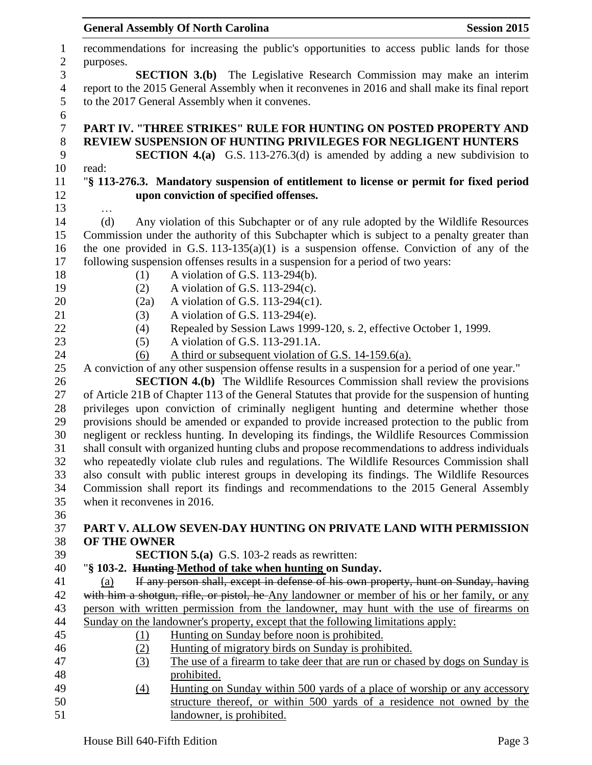|                  | <b>General Assembly Of North Carolina</b><br><b>Session 2015</b>                                 |  |
|------------------|--------------------------------------------------------------------------------------------------|--|
| $\mathbf{1}$     | recommendations for increasing the public's opportunities to access public lands for those       |  |
| $\boldsymbol{2}$ | purposes.                                                                                        |  |
| 3                | <b>SECTION 3.(b)</b> The Legislative Research Commission may make an interim                     |  |
| $\overline{4}$   | report to the 2015 General Assembly when it reconvenes in 2016 and shall make its final report   |  |
| 5                | to the 2017 General Assembly when it convenes.                                                   |  |
| $\sqrt{6}$       |                                                                                                  |  |
| $\boldsymbol{7}$ | PART IV. "THREE STRIKES" RULE FOR HUNTING ON POSTED PROPERTY AND                                 |  |
| $8\,$            | <b>REVIEW SUSPENSION OF HUNTING PRIVILEGES FOR NEGLIGENT HUNTERS</b>                             |  |
| 9                | <b>SECTION 4.(a)</b> G.S. 113-276.3(d) is amended by adding a new subdivision to                 |  |
| 10               | read:                                                                                            |  |
| 11               | "\\$ 113-276.3. Mandatory suspension of entitlement to license or permit for fixed period        |  |
| 12               | upon conviction of specified offenses.                                                           |  |
| 13               |                                                                                                  |  |
| 14               | Any violation of this Subchapter or of any rule adopted by the Wildlife Resources<br>(d)         |  |
| 15               | Commission under the authority of this Subchapter which is subject to a penalty greater than     |  |
| 16               | the one provided in G.S. 113-135(a)(1) is a suspension of fense. Conviction of any of the        |  |
| 17               | following suspension offenses results in a suspension for a period of two years:                 |  |
| 18               | A violation of G.S. 113-294(b).<br>(1)                                                           |  |
| 19               | (2)<br>A violation of G.S. $113-294(c)$ .                                                        |  |
| 20               | A violation of G.S. 113-294(c1).<br>(2a)                                                         |  |
| 21               | A violation of G.S. 113-294(e).<br>(3)                                                           |  |
| 22               | Repealed by Session Laws 1999-120, s. 2, effective October 1, 1999.<br>(4)                       |  |
| 23               | A violation of G.S. 113-291.1A.<br>(5)                                                           |  |
| 24               | A third or subsequent violation of G.S. 14-159.6(a).<br>(6)                                      |  |
| 25               | A conviction of any other suspension offense results in a suspension for a period of one year."  |  |
| 26               | <b>SECTION 4.(b)</b> The Wildlife Resources Commission shall review the provisions               |  |
| 27               | of Article 21B of Chapter 113 of the General Statutes that provide for the suspension of hunting |  |
| 28               | privileges upon conviction of criminally negligent hunting and determine whether those           |  |
| 29               | provisions should be amended or expanded to provide increased protection to the public from      |  |
| 30               | negligent or reckless hunting. In developing its findings, the Wildlife Resources Commission     |  |
| 31               | shall consult with organized hunting clubs and propose recommendations to address individuals    |  |
| 32               | who repeatedly violate club rules and regulations. The Wildlife Resources Commission shall       |  |
| 33               | also consult with public interest groups in developing its findings. The Wildlife Resources      |  |
| 34               | Commission shall report its findings and recommendations to the 2015 General Assembly            |  |
| 35               | when it reconvenes in 2016.                                                                      |  |
| 36               |                                                                                                  |  |
| 37               | PART V. ALLOW SEVEN-DAY HUNTING ON PRIVATE LAND WITH PERMISSION                                  |  |
| 38               | OF THE OWNER                                                                                     |  |
| 39               | <b>SECTION 5.(a)</b> G.S. 103-2 reads as rewritten:                                              |  |
| 40               | "§ 103-2. Hunting-Method of take when hunting on Sunday.                                         |  |
| 41               | If any person shall, except in defense of his own property, hunt on Sunday, having<br>(a)        |  |
| 42               | with him a shotgun, rifle, or pistol, he Any landowner or member of his or her family, or any    |  |
| 43               | person with written permission from the landowner, may hunt with the use of firearms on          |  |
| 44               | Sunday on the landowner's property, except that the following limitations apply:                 |  |
| 45               | Hunting on Sunday before noon is prohibited.<br><u>(1)</u>                                       |  |
| 46               | Hunting of migratory birds on Sunday is prohibited.<br>(2)                                       |  |
| 47               | (3)<br>The use of a firearm to take deer that are run or chased by dogs on Sunday is             |  |
| 48               | prohibited.                                                                                      |  |
| 49               | Hunting on Sunday within 500 yards of a place of worship or any accessory<br>$\underline{(4)}$   |  |
| 50               | structure thereof, or within 500 yards of a residence not owned by the                           |  |
| 51               | landowner, is prohibited.                                                                        |  |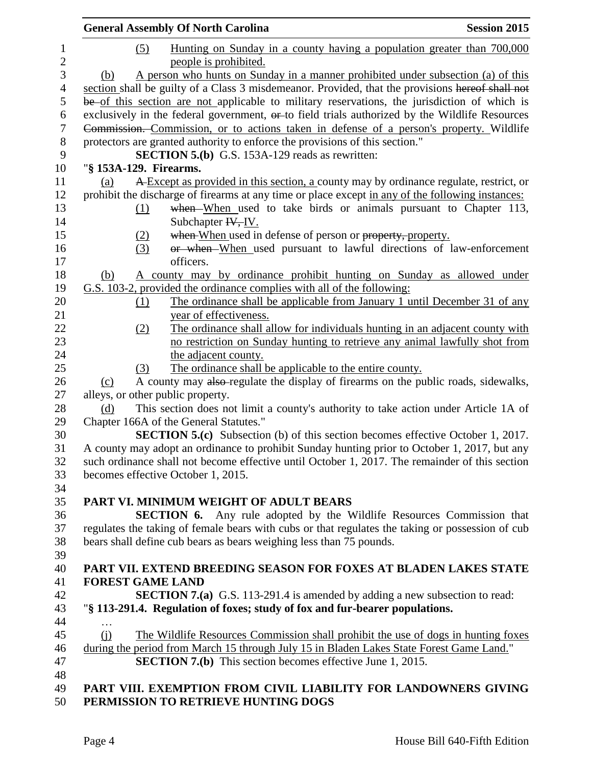| <u>Hunting on Sunday in a county having a population greater than 700,000</u><br>people is prohibited.<br>A person who hunts on Sunday in a manner prohibited under subsection (a) of this<br>section shall be guilty of a Class 3 misdemeanor. Provided, that the provisions hereof shall not<br>be of this section are not applicable to military reservations, the jurisdiction of which is<br>exclusively in the federal government, or to field trials authorized by the Wildlife Resources<br>Commission. Commission, or to actions taken in defense of a person's property. Wildlife<br>protectors are granted authority to enforce the provisions of this section."<br><b>SECTION 5.(b)</b> G.S. 153A-129 reads as rewritten:<br>"§ 153A-129. Firearms.<br>A Except as provided in this section, a county may by ordinance regulate, restrict, or<br>prohibit the discharge of firearms at any time or place except in any of the following instances:<br>when When used to take birds or animals pursuant to Chapter 113,<br>Subchapter IV, IV.<br>when When used in defense of person or property, property.<br>or when When used pursuant to lawful directions of law-enforcement<br>officers.<br>A county may by ordinance prohibit hunting on Sunday as allowed under<br>G.S. 103-2, provided the ordinance complies with all of the following:<br>The ordinance shall be applicable from January 1 until December 31 of any<br>year of effectiveness. |
|---------------------------------------------------------------------------------------------------------------------------------------------------------------------------------------------------------------------------------------------------------------------------------------------------------------------------------------------------------------------------------------------------------------------------------------------------------------------------------------------------------------------------------------------------------------------------------------------------------------------------------------------------------------------------------------------------------------------------------------------------------------------------------------------------------------------------------------------------------------------------------------------------------------------------------------------------------------------------------------------------------------------------------------------------------------------------------------------------------------------------------------------------------------------------------------------------------------------------------------------------------------------------------------------------------------------------------------------------------------------------------------------------------------------------------------------------------------------|
|                                                                                                                                                                                                                                                                                                                                                                                                                                                                                                                                                                                                                                                                                                                                                                                                                                                                                                                                                                                                                                                                                                                                                                                                                                                                                                                                                                                                                                                                     |
|                                                                                                                                                                                                                                                                                                                                                                                                                                                                                                                                                                                                                                                                                                                                                                                                                                                                                                                                                                                                                                                                                                                                                                                                                                                                                                                                                                                                                                                                     |
|                                                                                                                                                                                                                                                                                                                                                                                                                                                                                                                                                                                                                                                                                                                                                                                                                                                                                                                                                                                                                                                                                                                                                                                                                                                                                                                                                                                                                                                                     |
|                                                                                                                                                                                                                                                                                                                                                                                                                                                                                                                                                                                                                                                                                                                                                                                                                                                                                                                                                                                                                                                                                                                                                                                                                                                                                                                                                                                                                                                                     |
|                                                                                                                                                                                                                                                                                                                                                                                                                                                                                                                                                                                                                                                                                                                                                                                                                                                                                                                                                                                                                                                                                                                                                                                                                                                                                                                                                                                                                                                                     |
|                                                                                                                                                                                                                                                                                                                                                                                                                                                                                                                                                                                                                                                                                                                                                                                                                                                                                                                                                                                                                                                                                                                                                                                                                                                                                                                                                                                                                                                                     |
|                                                                                                                                                                                                                                                                                                                                                                                                                                                                                                                                                                                                                                                                                                                                                                                                                                                                                                                                                                                                                                                                                                                                                                                                                                                                                                                                                                                                                                                                     |
|                                                                                                                                                                                                                                                                                                                                                                                                                                                                                                                                                                                                                                                                                                                                                                                                                                                                                                                                                                                                                                                                                                                                                                                                                                                                                                                                                                                                                                                                     |
|                                                                                                                                                                                                                                                                                                                                                                                                                                                                                                                                                                                                                                                                                                                                                                                                                                                                                                                                                                                                                                                                                                                                                                                                                                                                                                                                                                                                                                                                     |
|                                                                                                                                                                                                                                                                                                                                                                                                                                                                                                                                                                                                                                                                                                                                                                                                                                                                                                                                                                                                                                                                                                                                                                                                                                                                                                                                                                                                                                                                     |
|                                                                                                                                                                                                                                                                                                                                                                                                                                                                                                                                                                                                                                                                                                                                                                                                                                                                                                                                                                                                                                                                                                                                                                                                                                                                                                                                                                                                                                                                     |
|                                                                                                                                                                                                                                                                                                                                                                                                                                                                                                                                                                                                                                                                                                                                                                                                                                                                                                                                                                                                                                                                                                                                                                                                                                                                                                                                                                                                                                                                     |
|                                                                                                                                                                                                                                                                                                                                                                                                                                                                                                                                                                                                                                                                                                                                                                                                                                                                                                                                                                                                                                                                                                                                                                                                                                                                                                                                                                                                                                                                     |
|                                                                                                                                                                                                                                                                                                                                                                                                                                                                                                                                                                                                                                                                                                                                                                                                                                                                                                                                                                                                                                                                                                                                                                                                                                                                                                                                                                                                                                                                     |
|                                                                                                                                                                                                                                                                                                                                                                                                                                                                                                                                                                                                                                                                                                                                                                                                                                                                                                                                                                                                                                                                                                                                                                                                                                                                                                                                                                                                                                                                     |
|                                                                                                                                                                                                                                                                                                                                                                                                                                                                                                                                                                                                                                                                                                                                                                                                                                                                                                                                                                                                                                                                                                                                                                                                                                                                                                                                                                                                                                                                     |
|                                                                                                                                                                                                                                                                                                                                                                                                                                                                                                                                                                                                                                                                                                                                                                                                                                                                                                                                                                                                                                                                                                                                                                                                                                                                                                                                                                                                                                                                     |
|                                                                                                                                                                                                                                                                                                                                                                                                                                                                                                                                                                                                                                                                                                                                                                                                                                                                                                                                                                                                                                                                                                                                                                                                                                                                                                                                                                                                                                                                     |
|                                                                                                                                                                                                                                                                                                                                                                                                                                                                                                                                                                                                                                                                                                                                                                                                                                                                                                                                                                                                                                                                                                                                                                                                                                                                                                                                                                                                                                                                     |
|                                                                                                                                                                                                                                                                                                                                                                                                                                                                                                                                                                                                                                                                                                                                                                                                                                                                                                                                                                                                                                                                                                                                                                                                                                                                                                                                                                                                                                                                     |
|                                                                                                                                                                                                                                                                                                                                                                                                                                                                                                                                                                                                                                                                                                                                                                                                                                                                                                                                                                                                                                                                                                                                                                                                                                                                                                                                                                                                                                                                     |
|                                                                                                                                                                                                                                                                                                                                                                                                                                                                                                                                                                                                                                                                                                                                                                                                                                                                                                                                                                                                                                                                                                                                                                                                                                                                                                                                                                                                                                                                     |
|                                                                                                                                                                                                                                                                                                                                                                                                                                                                                                                                                                                                                                                                                                                                                                                                                                                                                                                                                                                                                                                                                                                                                                                                                                                                                                                                                                                                                                                                     |
| The ordinance shall allow for individuals hunting in an adjacent county with                                                                                                                                                                                                                                                                                                                                                                                                                                                                                                                                                                                                                                                                                                                                                                                                                                                                                                                                                                                                                                                                                                                                                                                                                                                                                                                                                                                        |
| no restriction on Sunday hunting to retrieve any animal lawfully shot from                                                                                                                                                                                                                                                                                                                                                                                                                                                                                                                                                                                                                                                                                                                                                                                                                                                                                                                                                                                                                                                                                                                                                                                                                                                                                                                                                                                          |
| the adjacent county.                                                                                                                                                                                                                                                                                                                                                                                                                                                                                                                                                                                                                                                                                                                                                                                                                                                                                                                                                                                                                                                                                                                                                                                                                                                                                                                                                                                                                                                |
| The ordinance shall be applicable to the entire county.                                                                                                                                                                                                                                                                                                                                                                                                                                                                                                                                                                                                                                                                                                                                                                                                                                                                                                                                                                                                                                                                                                                                                                                                                                                                                                                                                                                                             |
| A county may also-regulate the display of firearms on the public roads, sidewalks,                                                                                                                                                                                                                                                                                                                                                                                                                                                                                                                                                                                                                                                                                                                                                                                                                                                                                                                                                                                                                                                                                                                                                                                                                                                                                                                                                                                  |
| alleys, or other public property.                                                                                                                                                                                                                                                                                                                                                                                                                                                                                                                                                                                                                                                                                                                                                                                                                                                                                                                                                                                                                                                                                                                                                                                                                                                                                                                                                                                                                                   |
| This section does not limit a county's authority to take action under Article 1A of                                                                                                                                                                                                                                                                                                                                                                                                                                                                                                                                                                                                                                                                                                                                                                                                                                                                                                                                                                                                                                                                                                                                                                                                                                                                                                                                                                                 |
| Chapter 166A of the General Statutes."                                                                                                                                                                                                                                                                                                                                                                                                                                                                                                                                                                                                                                                                                                                                                                                                                                                                                                                                                                                                                                                                                                                                                                                                                                                                                                                                                                                                                              |
| <b>SECTION 5.(c)</b> Subsection (b) of this section becomes effective October 1, 2017.                                                                                                                                                                                                                                                                                                                                                                                                                                                                                                                                                                                                                                                                                                                                                                                                                                                                                                                                                                                                                                                                                                                                                                                                                                                                                                                                                                              |
|                                                                                                                                                                                                                                                                                                                                                                                                                                                                                                                                                                                                                                                                                                                                                                                                                                                                                                                                                                                                                                                                                                                                                                                                                                                                                                                                                                                                                                                                     |
| A county may adopt an ordinance to prohibit Sunday hunting prior to October 1, 2017, but any                                                                                                                                                                                                                                                                                                                                                                                                                                                                                                                                                                                                                                                                                                                                                                                                                                                                                                                                                                                                                                                                                                                                                                                                                                                                                                                                                                        |
| such ordinance shall not become effective until October 1, 2017. The remainder of this section                                                                                                                                                                                                                                                                                                                                                                                                                                                                                                                                                                                                                                                                                                                                                                                                                                                                                                                                                                                                                                                                                                                                                                                                                                                                                                                                                                      |
| becomes effective October 1, 2015.                                                                                                                                                                                                                                                                                                                                                                                                                                                                                                                                                                                                                                                                                                                                                                                                                                                                                                                                                                                                                                                                                                                                                                                                                                                                                                                                                                                                                                  |
|                                                                                                                                                                                                                                                                                                                                                                                                                                                                                                                                                                                                                                                                                                                                                                                                                                                                                                                                                                                                                                                                                                                                                                                                                                                                                                                                                                                                                                                                     |
| PART VI. MINIMUM WEIGHT OF ADULT BEARS                                                                                                                                                                                                                                                                                                                                                                                                                                                                                                                                                                                                                                                                                                                                                                                                                                                                                                                                                                                                                                                                                                                                                                                                                                                                                                                                                                                                                              |
| <b>SECTION 6.</b> Any rule adopted by the Wildlife Resources Commission that                                                                                                                                                                                                                                                                                                                                                                                                                                                                                                                                                                                                                                                                                                                                                                                                                                                                                                                                                                                                                                                                                                                                                                                                                                                                                                                                                                                        |
| regulates the taking of female bears with cubs or that regulates the taking or possession of cub                                                                                                                                                                                                                                                                                                                                                                                                                                                                                                                                                                                                                                                                                                                                                                                                                                                                                                                                                                                                                                                                                                                                                                                                                                                                                                                                                                    |
| bears shall define cub bears as bears weighing less than 75 pounds.                                                                                                                                                                                                                                                                                                                                                                                                                                                                                                                                                                                                                                                                                                                                                                                                                                                                                                                                                                                                                                                                                                                                                                                                                                                                                                                                                                                                 |
|                                                                                                                                                                                                                                                                                                                                                                                                                                                                                                                                                                                                                                                                                                                                                                                                                                                                                                                                                                                                                                                                                                                                                                                                                                                                                                                                                                                                                                                                     |
| PART VII. EXTEND BREEDING SEASON FOR FOXES AT BLADEN LAKES STATE                                                                                                                                                                                                                                                                                                                                                                                                                                                                                                                                                                                                                                                                                                                                                                                                                                                                                                                                                                                                                                                                                                                                                                                                                                                                                                                                                                                                    |
|                                                                                                                                                                                                                                                                                                                                                                                                                                                                                                                                                                                                                                                                                                                                                                                                                                                                                                                                                                                                                                                                                                                                                                                                                                                                                                                                                                                                                                                                     |
|                                                                                                                                                                                                                                                                                                                                                                                                                                                                                                                                                                                                                                                                                                                                                                                                                                                                                                                                                                                                                                                                                                                                                                                                                                                                                                                                                                                                                                                                     |
| <b>FOREST GAME LAND</b>                                                                                                                                                                                                                                                                                                                                                                                                                                                                                                                                                                                                                                                                                                                                                                                                                                                                                                                                                                                                                                                                                                                                                                                                                                                                                                                                                                                                                                             |
| <b>SECTION 7.(a)</b> G.S. 113-291.4 is amended by adding a new subsection to read:                                                                                                                                                                                                                                                                                                                                                                                                                                                                                                                                                                                                                                                                                                                                                                                                                                                                                                                                                                                                                                                                                                                                                                                                                                                                                                                                                                                  |
| "§ 113-291.4. Regulation of foxes; study of fox and fur-bearer populations.                                                                                                                                                                                                                                                                                                                                                                                                                                                                                                                                                                                                                                                                                                                                                                                                                                                                                                                                                                                                                                                                                                                                                                                                                                                                                                                                                                                         |
|                                                                                                                                                                                                                                                                                                                                                                                                                                                                                                                                                                                                                                                                                                                                                                                                                                                                                                                                                                                                                                                                                                                                                                                                                                                                                                                                                                                                                                                                     |
| The Wildlife Resources Commission shall prohibit the use of dogs in hunting foxes                                                                                                                                                                                                                                                                                                                                                                                                                                                                                                                                                                                                                                                                                                                                                                                                                                                                                                                                                                                                                                                                                                                                                                                                                                                                                                                                                                                   |
| during the period from March 15 through July 15 in Bladen Lakes State Forest Game Land."                                                                                                                                                                                                                                                                                                                                                                                                                                                                                                                                                                                                                                                                                                                                                                                                                                                                                                                                                                                                                                                                                                                                                                                                                                                                                                                                                                            |
| <b>SECTION 7.(b)</b> This section becomes effective June 1, 2015.                                                                                                                                                                                                                                                                                                                                                                                                                                                                                                                                                                                                                                                                                                                                                                                                                                                                                                                                                                                                                                                                                                                                                                                                                                                                                                                                                                                                   |
| PART VIII. EXEMPTION FROM CIVIL LIABILITY FOR LANDOWNERS GIVING                                                                                                                                                                                                                                                                                                                                                                                                                                                                                                                                                                                                                                                                                                                                                                                                                                                                                                                                                                                                                                                                                                                                                                                                                                                                                                                                                                                                     |
|                                                                                                                                                                                                                                                                                                                                                                                                                                                                                                                                                                                                                                                                                                                                                                                                                                                                                                                                                                                                                                                                                                                                                                                                                                                                                                                                                                                                                                                                     |